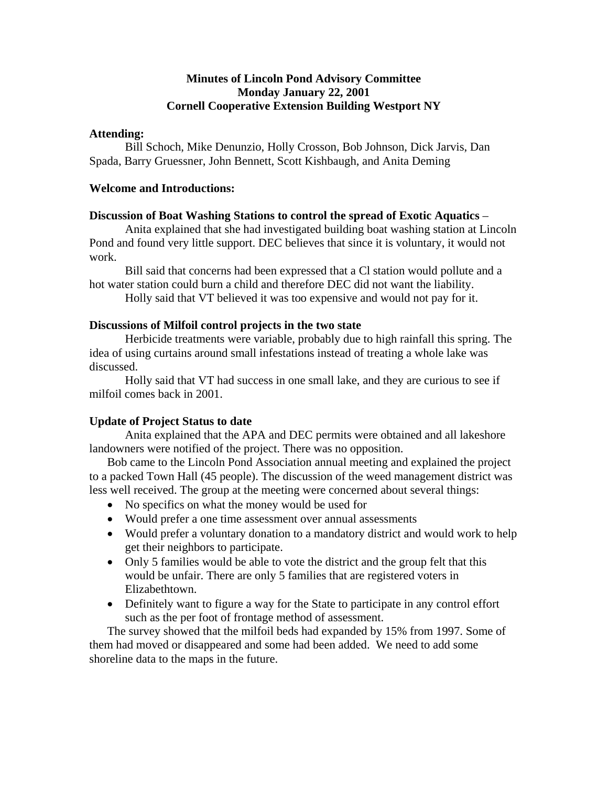## **Minutes of Lincoln Pond Advisory Committee Monday January 22, 2001 Cornell Cooperative Extension Building Westport NY**

### **Attending:**

 Bill Schoch, Mike Denunzio, Holly Crosson, Bob Johnson, Dick Jarvis, Dan Spada, Barry Gruessner, John Bennett, Scott Kishbaugh, and Anita Deming

#### **Welcome and Introductions:**

#### **Discussion of Boat Washing Stations to control the spread of Exotic Aquatics** –

 Anita explained that she had investigated building boat washing station at Lincoln Pond and found very little support. DEC believes that since it is voluntary, it would not work.

 Bill said that concerns had been expressed that a Cl station would pollute and a hot water station could burn a child and therefore DEC did not want the liability.

Holly said that VT believed it was too expensive and would not pay for it.

#### **Discussions of Milfoil control projects in the two state**

Herbicide treatments were variable, probably due to high rainfall this spring. The idea of using curtains around small infestations instead of treating a whole lake was discussed.

 Holly said that VT had success in one small lake, and they are curious to see if milfoil comes back in 2001.

### **Update of Project Status to date**

 Anita explained that the APA and DEC permits were obtained and all lakeshore landowners were notified of the project. There was no opposition.

Bob came to the Lincoln Pond Association annual meeting and explained the project to a packed Town Hall (45 people). The discussion of the weed management district was less well received. The group at the meeting were concerned about several things:

- No specifics on what the money would be used for
- Would prefer a one time assessment over annual assessments
- Would prefer a voluntary donation to a mandatory district and would work to help get their neighbors to participate.
- Only 5 families would be able to vote the district and the group felt that this would be unfair. There are only 5 families that are registered voters in Elizabethtown.
- Definitely want to figure a way for the State to participate in any control effort such as the per foot of frontage method of assessment.

The survey showed that the milfoil beds had expanded by 15% from 1997. Some of them had moved or disappeared and some had been added. We need to add some shoreline data to the maps in the future.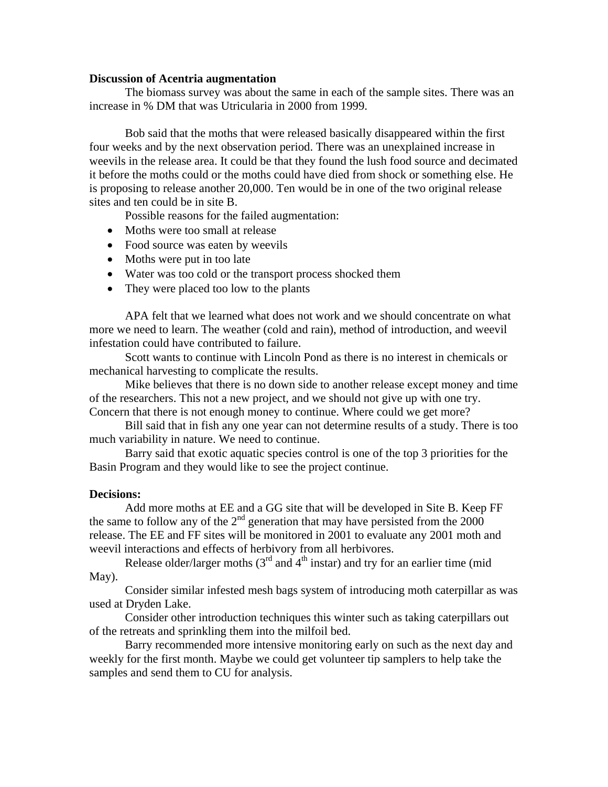#### **Discussion of Acentria augmentation**

 The biomass survey was about the same in each of the sample sites. There was an increase in % DM that was Utricularia in 2000 from 1999.

Bob said that the moths that were released basically disappeared within the first four weeks and by the next observation period. There was an unexplained increase in weevils in the release area. It could be that they found the lush food source and decimated it before the moths could or the moths could have died from shock or something else. He is proposing to release another 20,000. Ten would be in one of the two original release sites and ten could be in site B.

Possible reasons for the failed augmentation:

- Moths were too small at release
- Food source was eaten by weevils
- Moths were put in too late
- Water was too cold or the transport process shocked them
- They were placed too low to the plants

APA felt that we learned what does not work and we should concentrate on what more we need to learn. The weather (cold and rain), method of introduction, and weevil infestation could have contributed to failure.

Scott wants to continue with Lincoln Pond as there is no interest in chemicals or mechanical harvesting to complicate the results.

 Mike believes that there is no down side to another release except money and time of the researchers. This not a new project, and we should not give up with one try. Concern that there is not enough money to continue. Where could we get more?

 Bill said that in fish any one year can not determine results of a study. There is too much variability in nature. We need to continue.

 Barry said that exotic aquatic species control is one of the top 3 priorities for the Basin Program and they would like to see the project continue.

#### **Decisions:**

 Add more moths at EE and a GG site that will be developed in Site B. Keep FF the same to follow any of the  $2<sup>nd</sup>$  generation that may have persisted from the 2000 release. The EE and FF sites will be monitored in 2001 to evaluate any 2001 moth and weevil interactions and effects of herbivory from all herbivores.

Release older/larger moths  $(3<sup>rd</sup>$  and  $4<sup>th</sup>$  instar) and try for an earlier time (mid May).

Consider similar infested mesh bags system of introducing moth caterpillar as was used at Dryden Lake.

Consider other introduction techniques this winter such as taking caterpillars out of the retreats and sprinkling them into the milfoil bed.

 Barry recommended more intensive monitoring early on such as the next day and weekly for the first month. Maybe we could get volunteer tip samplers to help take the samples and send them to CU for analysis.